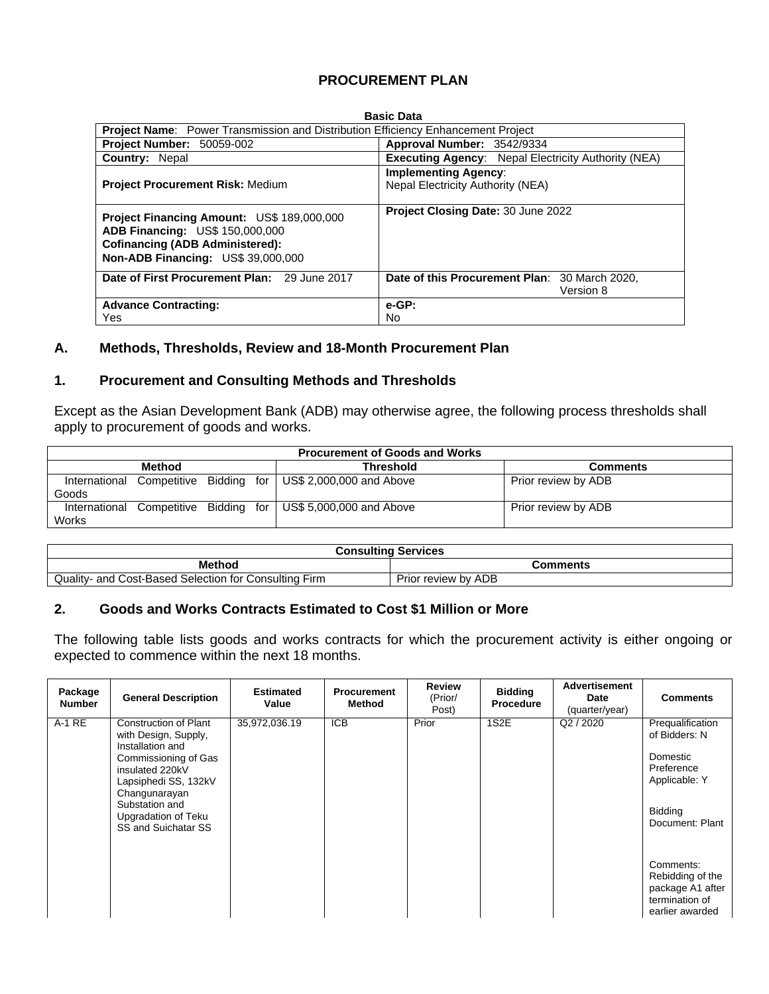# **PROCUREMENT PLAN**

| <b>Basic Data</b>                                                                                                                                                           |                                                                         |  |  |  |  |  |  |  |  |
|-----------------------------------------------------------------------------------------------------------------------------------------------------------------------------|-------------------------------------------------------------------------|--|--|--|--|--|--|--|--|
| <b>Project Name:</b> Power Transmission and Distribution Efficiency Enhancement Project                                                                                     |                                                                         |  |  |  |  |  |  |  |  |
| Project Number: 50059-002                                                                                                                                                   | Approval Number: 3542/9334                                              |  |  |  |  |  |  |  |  |
| <b>Country: Nepal</b>                                                                                                                                                       | <b>Executing Agency: Nepal Electricity Authority (NEA)</b>              |  |  |  |  |  |  |  |  |
| <b>Project Procurement Risk: Medium</b>                                                                                                                                     | <b>Implementing Agency:</b><br><b>Nepal Electricity Authority (NEA)</b> |  |  |  |  |  |  |  |  |
| <b>Project Financing Amount: US\$ 189,000,000</b><br>ADB Financing: US\$ 150,000,000<br><b>Cofinancing (ADB Administered):</b><br><b>Non-ADB Financing: US\$ 39,000,000</b> | Project Closing Date: 30 June 2022                                      |  |  |  |  |  |  |  |  |
| Date of First Procurement Plan: 29 June 2017                                                                                                                                | Date of this Procurement Plan: 30 March 2020,<br>Version 8              |  |  |  |  |  |  |  |  |
| <b>Advance Contracting:</b>                                                                                                                                                 | e-GP:                                                                   |  |  |  |  |  |  |  |  |
| Yes                                                                                                                                                                         | No                                                                      |  |  |  |  |  |  |  |  |

### **A. Methods, Thresholds, Review and 18-Month Procurement Plan**

#### **1. Procurement and Consulting Methods and Thresholds**

Except as the Asian Development Bank (ADB) may otherwise agree, the following process thresholds shall apply to procurement of goods and works.

| <b>Procurement of Goods and Works</b> |  |  |  |                                                    |                     |  |  |  |  |
|---------------------------------------|--|--|--|----------------------------------------------------|---------------------|--|--|--|--|
| <b>Method</b>                         |  |  |  | <b>Threshold</b>                                   | <b>Comments</b>     |  |  |  |  |
| International<br>Goods                |  |  |  | Competitive Bidding for   US\$ 2,000,000 and Above | Prior review by ADB |  |  |  |  |
| International<br>Works                |  |  |  | Competitive Bidding for   US\$ 5,000,000 and Above | Prior review by ADB |  |  |  |  |

| <b>Consulting Services</b>                                         |                     |  |  |  |  |  |  |
|--------------------------------------------------------------------|---------------------|--|--|--|--|--|--|
| Method                                                             | Comments            |  |  |  |  |  |  |
| Quality<br>I Cost-Based Selection for C<br>and<br>∵Consultina Firm | Prior review by ADB |  |  |  |  |  |  |

# **2. Goods and Works Contracts Estimated to Cost \$1 Million or More**

The following table lists goods and works contracts for which the procurement activity is either ongoing or expected to commence within the next 18 months.

| Package<br><b>Number</b> | <b>General Description</b>                                                                                                                                                                                                   | <b>Estimated</b><br>Value | <b>Procurement</b><br>Method | <b>Review</b><br>(Prior/<br>Post) | <b>Bidding</b><br><b>Procedure</b> | <b>Advertisement</b><br>Date<br>(quarter/year) | <b>Comments</b>                                                                                            |
|--------------------------|------------------------------------------------------------------------------------------------------------------------------------------------------------------------------------------------------------------------------|---------------------------|------------------------------|-----------------------------------|------------------------------------|------------------------------------------------|------------------------------------------------------------------------------------------------------------|
| $A-1RE$                  | <b>Construction of Plant</b><br>with Design, Supply,<br>Installation and<br>Commissioning of Gas<br>insulated 220kV<br>Lapsiphedi SS, 132kV<br>Changunarayan<br>Substation and<br>Upgradation of Teku<br>SS and Suichatar SS | 35,972,036.19             | <b>ICB</b>                   | Prior                             | 1S2E                               | Q2 / 2020                                      | Prequalification<br>of Bidders: N<br>Domestic<br>Preference<br>Applicable: Y<br>Bidding<br>Document: Plant |
|                          |                                                                                                                                                                                                                              |                           |                              |                                   |                                    |                                                | Comments:<br>Rebidding of the<br>package A1 after<br>termination of<br>earlier awarded                     |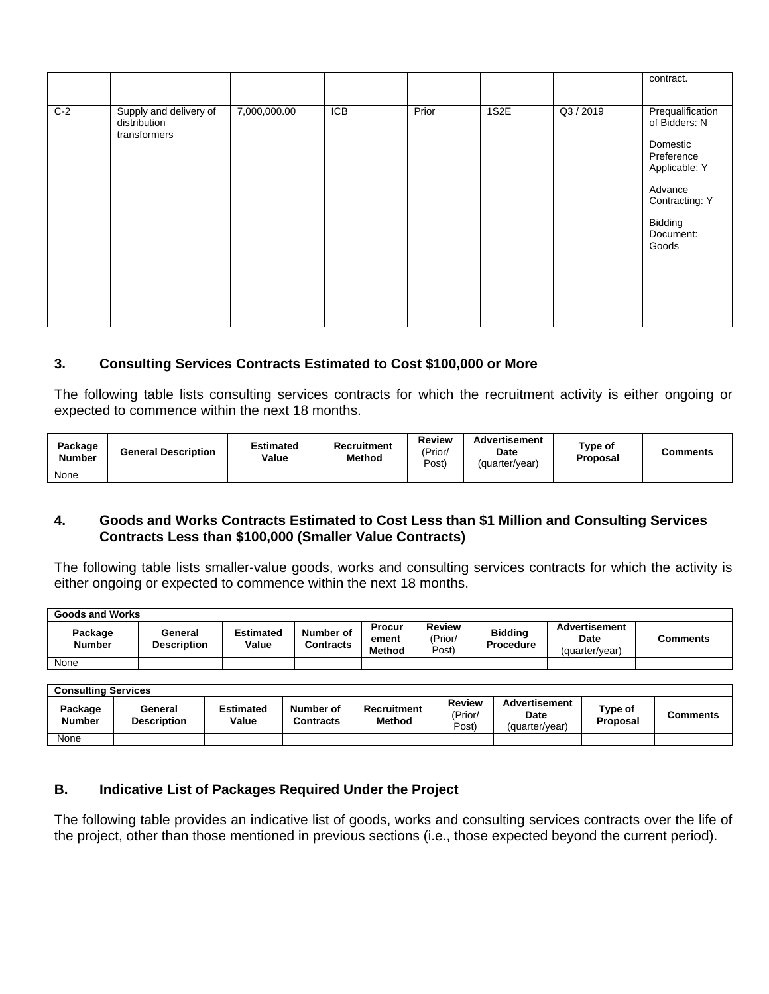|       |                                                        |              |     |       |      |           | contract.                                                                                                                                  |
|-------|--------------------------------------------------------|--------------|-----|-------|------|-----------|--------------------------------------------------------------------------------------------------------------------------------------------|
| $C-2$ | Supply and delivery of<br>distribution<br>transformers | 7,000,000.00 | ICB | Prior | 1S2E | Q3 / 2019 | Prequalification<br>of Bidders: N<br>Domestic<br>Preference<br>Applicable: Y<br>Advance<br>Contracting: Y<br>Bidding<br>Document:<br>Goods |

## **3. Consulting Services Contracts Estimated to Cost \$100,000 or More**

The following table lists consulting services contracts for which the recruitment activity is either ongoing or expected to commence within the next 18 months.

| Package<br><b>Number</b> | <b>General Description</b> | Estimated<br>Value | Recruitment<br>Method | Review<br>(Prior/<br>Post) | Advertisement<br>Date<br>(quarter/year) | Type of<br><b>Proposal</b> | Comments |
|--------------------------|----------------------------|--------------------|-----------------------|----------------------------|-----------------------------------------|----------------------------|----------|
| None                     |                            |                    |                       |                            |                                         |                            |          |

#### **4. Goods and Works Contracts Estimated to Cost Less than \$1 Million and Consulting Services Contracts Less than \$100,000 (Smaller Value Contracts)**

The following table lists smaller-value goods, works and consulting services contracts for which the activity is either ongoing or expected to commence within the next 18 months.

| <b>Goods and Works</b>   |                               |                           |                        |                                  |                            |                             |                                                |          |  |  |
|--------------------------|-------------------------------|---------------------------|------------------------|----------------------------------|----------------------------|-----------------------------|------------------------------------------------|----------|--|--|
| Package<br><b>Number</b> | General<br><b>Description</b> | <b>Estimated</b><br>Value | Number of<br>Contracts | Procur<br>ement<br><b>Method</b> | Review<br>(Prior/<br>Post) | <b>Bidding</b><br>Procedure | <b>Advertisement</b><br>Date<br>(quarter/year) | Comments |  |  |
| None                     |                               |                           |                        |                                  |                            |                             |                                                |          |  |  |

| <b>Consulting Services</b> |                               |                           |                               |                       |                            |                                         |                     |                 |  |  |
|----------------------------|-------------------------------|---------------------------|-------------------------------|-----------------------|----------------------------|-----------------------------------------|---------------------|-----------------|--|--|
| Package<br><b>Number</b>   | General<br><b>Description</b> | <b>Estimated</b><br>Value | Number of<br><b>Contracts</b> | Recruitment<br>Method | Review<br>(Prior/<br>Post) | Advertisement<br>Date<br>(quarter/year) | Type of<br>Proposal | <b>Comments</b> |  |  |
| None                       |                               |                           |                               |                       |                            |                                         |                     |                 |  |  |

#### **B. Indicative List of Packages Required Under the Project**

The following table provides an indicative list of goods, works and consulting services contracts over the life of the project, other than those mentioned in previous sections (i.e., those expected beyond the current period).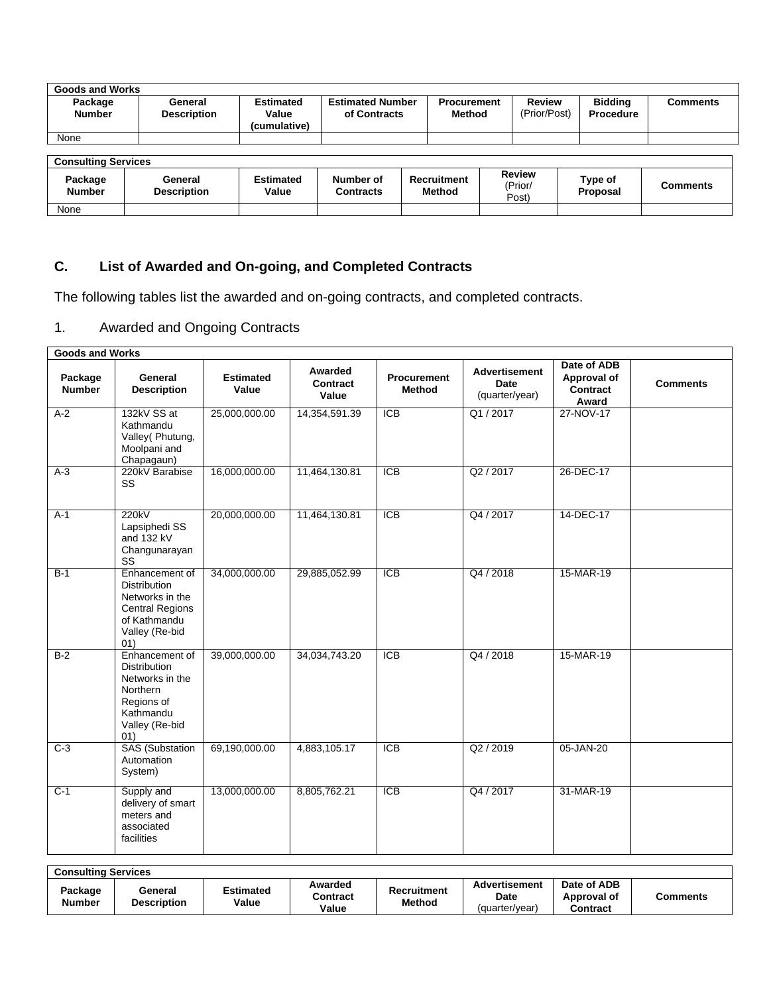| <b>Goods and Works</b>   |                               |                                           |                                         |                              |                        |                                    |          |  |  |  |  |
|--------------------------|-------------------------------|-------------------------------------------|-----------------------------------------|------------------------------|------------------------|------------------------------------|----------|--|--|--|--|
| Package<br><b>Number</b> | General<br><b>Description</b> | <b>Estimated</b><br>Value<br>(cumulative) | <b>Estimated Number</b><br>of Contracts | <b>Procurement</b><br>Method | Review<br>(Prior/Post) | <b>Bidding</b><br><b>Procedure</b> | Comments |  |  |  |  |
| None                     |                               |                                           |                                         |                              |                        |                                    |          |  |  |  |  |

**Consulting Services**

| <b>OUNSURING OUTVICES</b> |                               |                    |                        |                              |                                  |                     |          |  |  |  |
|---------------------------|-------------------------------|--------------------|------------------------|------------------------------|----------------------------------|---------------------|----------|--|--|--|
| Package<br>Number         | General<br><b>Description</b> | Estimated<br>Value | Number of<br>Contracts | Recruitment<br><b>Method</b> | <b>Review</b><br>'Prior/<br>Posť | Type of<br>Proposal | Comments |  |  |  |
| None                      |                               |                    |                        |                              |                                  |                     |          |  |  |  |

# **C. List of Awarded and On-going, and Completed Contracts**

The following tables list the awarded and on-going contracts, and completed contracts.

# 1. Awarded and Ongoing Contracts

| <b>Goods and Works</b>   |                                                                                                                             |                           |                              |                                     |                                                |                                                 |                 |
|--------------------------|-----------------------------------------------------------------------------------------------------------------------------|---------------------------|------------------------------|-------------------------------------|------------------------------------------------|-------------------------------------------------|-----------------|
| Package<br><b>Number</b> | General<br><b>Description</b>                                                                                               | <b>Estimated</b><br>Value | Awarded<br>Contract<br>Value | <b>Procurement</b><br><b>Method</b> | <b>Advertisement</b><br>Date<br>(quarter/year) | Date of ADB<br>Approval of<br>Contract<br>Award | <b>Comments</b> |
| $A-2$                    | 132kV SS at<br>Kathmandu<br>Valley(Phutung,<br>Moolpani and<br>Chapagaun)                                                   | 25,000,000.00             | 14,354,591.39                | $\overline{ICB}$                    | Q1/2017                                        | 27-NOV-17                                       |                 |
| $A-3$                    | 220kV Barabise<br>SS                                                                                                        | 16,000,000.00             | 11,464,130.81                | <b>ICB</b>                          | Q2 / 2017                                      | 26-DEC-17                                       |                 |
| $A-1$                    | 220kV<br>Lapsiphedi SS<br>and 132 kV<br>Changunarayan<br>SS                                                                 | 20,000,000.00             | 11,464,130.81                | <b>ICB</b>                          | Q4 / 2017                                      | 14-DEC-17                                       |                 |
| $B-1$                    | Enhancement of<br><b>Distribution</b><br>Networks in the<br><b>Central Regions</b><br>of Kathmandu<br>Valley (Re-bid<br>01) | 34,000,000.00             | 29,885,052.99                | <b>ICB</b>                          | Q4 / 2018                                      | 15-MAR-19                                       |                 |
| $B-2$                    | Enhancement of<br><b>Distribution</b><br>Networks in the<br>Northern<br>Regions of<br>Kathmandu<br>Valley (Re-bid<br>01)    | 39,000,000.00             | 34,034,743.20                | $\overline{ICB}$                    | Q4 / 2018                                      | 15-MAR-19                                       |                 |
| $C-3$                    | <b>SAS</b> (Substation<br>Automation<br>System)                                                                             | 69,190,000.00             | 4,883,105.17                 | $\overline{ICB}$                    | Q2 / 2019                                      | 05-JAN-20                                       |                 |
| $C-1$                    | Supply and<br>delivery of smart<br>meters and<br>associated<br>facilities                                                   | 13,000,000.00             | 8,805,762.21                 | $\overline{ICB}$                    | Q4 / 2017                                      | 31-MAR-19                                       |                 |

| <b>Consulting Services</b> |                               |                           |                              |                              |                                                |                                        |          |  |  |  |
|----------------------------|-------------------------------|---------------------------|------------------------------|------------------------------|------------------------------------------------|----------------------------------------|----------|--|--|--|
| Package<br>Number          | General<br><b>Description</b> | <b>Estimated</b><br>Value | Awarded<br>Contract<br>Value | Recruitment<br><b>Method</b> | Advertisement<br><b>Date</b><br>(quarter/year) | Date of ADB<br>Approval of<br>Contract | Comments |  |  |  |